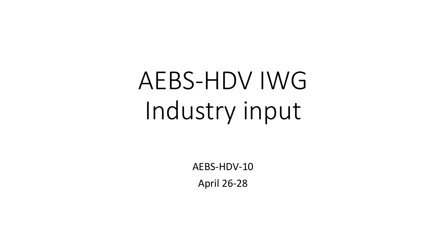# AEBS-HDV IWG Industry input

AEBS-HDV-10 April 26-28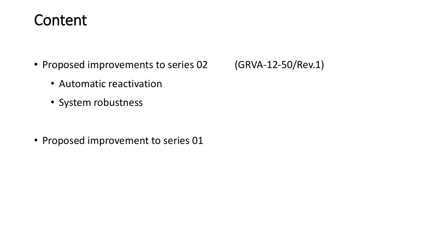### Content

- Proposed improvements to series 02 (GRVA-12-50/Rev.1)
	- Automatic reactivation
	- System robustness

• Proposed improvement to series 01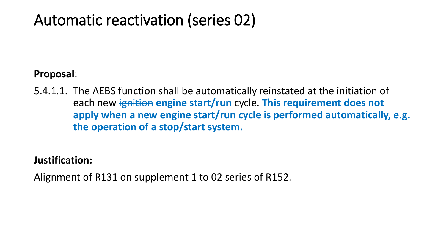## Automatic reactivation (series 02)

### **Proposal**:

5.4.1.1. The AEBS function shall be automatically reinstated at the initiation of **each new ignition engine start/run cycle. This requirement does not apply when a new engine start/run cycle is performed automatically, e.g. the operation of a stop/start system.**

### **Justification:**

Alignment of R131 on supplement 1 to 02 series of R152.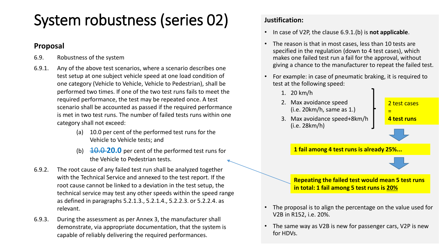# System robustness (series 02)

#### **Proposal**

- 6.9. Robustness of the system
- 6.9.1. Any of the above test scenarios, where a scenario describes one test setup at one subject vehicle speed at one load condition of one category (Vehicle to Vehicle, Vehicle to Pedestrian), shall be performed two times. If one of the two test runs fails to meet the required performance, the test may be repeated once. A test scenario shall be accounted as passed if the required performance is met in two test runs. The number of failed tests runs within one category shall not exceed:
	- (a) 10.0 per cent of the performed test runs for the Vehicle to Vehicle tests; and
	- (b)  $10.0$  **20.0** per cent of the performed test runs for the Vehicle to Pedestrian tests.
- 6.9.2. The root cause of any failed test run shall be analyzed together with the Technical Service and annexed to the test report. If the root cause cannot be linked to a deviation in the test setup, the technical service may test any other speeds within the speed range as defined in paragraphs 5.2.1.3., 5.2.1.4., 5.2.2.3. or 5.2.2.4. as relevant.
- 6.9.3. During the assessment as per Annex 3, the manufacturer shall demonstrate, via appropriate documentation, that the system is capable of reliably delivering the required performances.

#### **Justification:**

- In case of V2P, the clause 6.9.1.(b) is **not applicable**.
- The reason is that in most cases, less than 10 tests are specified in the regulation (down to 4 test cases), which makes one failed test run a fail for the approval, without giving a chance to the manufacturer to repeat the failed test.
- For example: in case of pneumatic braking, it is required to test at the following speed:



- **in total: 1 fail among 5 test runs is 20%**
- The proposal is to align the percentage on the value used for V2B in R152, i.e. 20%.
- The same way as V2B is new for passenger cars, V2P is new for HDVs.